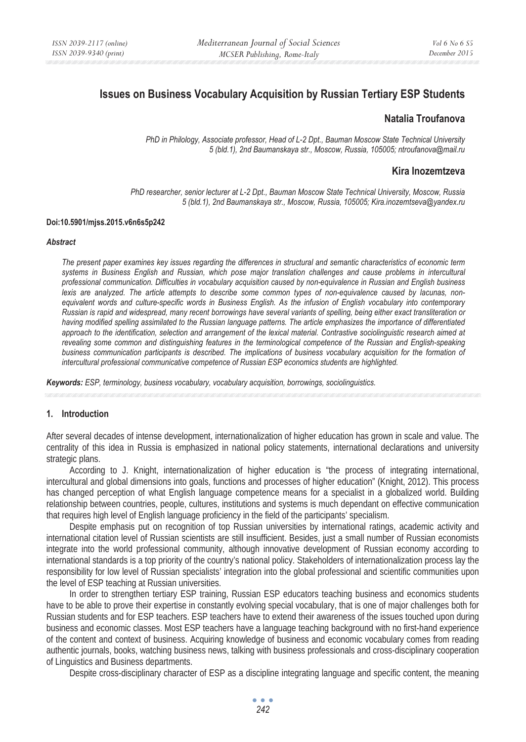# **Issues on Business Vocabulary Acquisition by Russian Tertiary ESP Students**

### **Natalia Troufanova**

*PhD in Philology, Associate professor, Head of L-2 Dpt., Bauman Moscow State Technical University 5 (bld.1), 2nd Baumanskaya str., Moscow, Russia, 105005; ntroufanova@mail.ru* 

### **Kira Inozemtzeva**

*PhD researcher, senior lecturer at L-2 Dpt., Bauman Moscow State Technical University, Moscow, Russia 5 (bld.1), 2nd Baumanskaya str., Moscow, Russia, 105005; Kira.inozemtseva@yandex.ru* 

#### **Doi:10.5901/mjss.2015.v6n6s5p242**

#### *Abstract*

*The present paper examines key issues regarding the differences in structural and semantic characteristics of economic term systems in Business English and Russian, which pose major translation challenges and cause problems in intercultural professional communication. Difficulties in vocabulary acquisition caused by non-equivalence in Russian and English business lexis are analyzed. The article attempts to describe some common types of non-equivalence caused by lacunas, nonequivalent words and culture-specific words in Business English. As the infusion of English vocabulary into contemporary Russian is rapid and widespread, many recent borrowings have several variants of spelling, being either exact transliteration or having modified spelling assimilated to the Russian language patterns. The article emphasizes the importance of differentiated approach to the identification, selection and arrangement of the lexical material. Contrastive sociolinguistic research aimed at*  revealing some common and distinguishing features in the terminological competence of the Russian and English-speaking *business communication participants is described. The implications of business vocabulary acquisition for the formation of intercultural professional communicative competence of Russian ESP economics students are highlighted.* 

*Keywords: ESP, terminology, business vocabulary, vocabulary acquisition, borrowings, sociolinguistics.*

#### **1. Introduction**

After several decades of intense development, internationalization of higher education has grown in scale and value. The centrality of this idea in Russia is emphasized in national policy statements, international declarations and university strategic plans.

According to J. Knight, internationalization of higher education is "the process of integrating international, intercultural and global dimensions into goals, functions and processes of higher education" (Knight, 2012). This process has changed perception of what English language competence means for a specialist in a globalized world. Building relationship between countries, people, cultures, institutions and systems is much dependant on effective communication that requires high level of English language proficiency in the field of the participants' specialism.

Despite emphasis put on recognition of top Russian universities by international ratings, academic activity and international citation level of Russian scientists are still insufficient. Besides, just a small number of Russian economists integrate into the world professional community, although innovative development of Russian economy according to international standards is a top priority of the country's national policy. Stakeholders of internationalization process lay the responsibility for low level of Russian specialists' integration into the global professional and scientific communities upon the level of ESP teaching at Russian universities.

In order to strengthen tertiary ESP training, Russian ESP educators teaching business and economics students have to be able to prove their expertise in constantly evolving special vocabulary, that is one of major challenges both for Russian students and for ESP teachers. ESP teachers have to extend their awareness of the issues touched upon during business and economic classes. Most ESP teachers have a language teaching background with no first-hand experience of the content and context of business. Acquiring knowledge of business and economic vocabulary comes from reading authentic journals, books, watching business news, talking with business professionals and cross-disciplinary cooperation of Linguistics and Business departments.

Despite cross-disciplinary character of ESP as a discipline integrating language and specific content, the meaning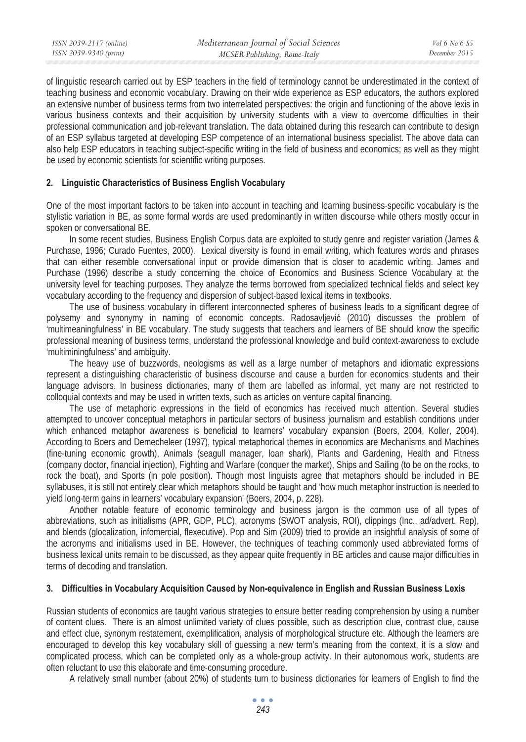of linguistic research carried out by ESP teachers in the field of terminology cannot be underestimated in the context of teaching business and economic vocabulary. Drawing on their wide experience as ESP educators, the authors explored an extensive number of business terms from two interrelated perspectives: the origin and functioning of the above lexis in various business contexts and their acquisition by university students with a view to overcome difficulties in their professional communication and job-relevant translation. The data obtained during this research can contribute to design of an ESP syllabus targeted at developing ESP competence of an international business specialist. The above data can also help ESP educators in teaching subject-specific writing in the field of business and economics; as well as they might be used by economic scientists for scientific writing purposes.

# **2. Linguistic Characteristics of Business English Vocabulary**

One of the most important factors to be taken into account in teaching and learning business-specific vocabulary is the stylistic variation in BE, as some formal words are used predominantly in written discourse while others mostly occur in spoken or conversational BE.

In some recent studies, Business English Corpus data are exploited to study genre and register variation (James & Purchase, 1996; Curado Fuentes, 2000). Lexical diversity is found in email writing, which features words and phrases that can either resemble conversational input or provide dimension that is closer to academic writing. James and Purchase (1996) describe a study concerning the choice of Economics and Business Science Vocabulary at the university level for teaching purposes. They analyze the terms borrowed from specialized technical fields and select key vocabulary according to the frequency and dispersion of subject-based lexical items in textbooks.

The use of business vocabulary in different interconnected spheres of business leads to a significant degree of polysemy and synonymy in naming of economic concepts. Radosavljević (2010) discusses the problem of 'multimeaningfulness' in BE vocabulary. The study suggests that teachers and learners of BE should know the specific professional meaning of business terms, understand the professional knowledge and build context-awareness to exclude 'multiminingfulness' and ambiguity.

The heavy use of buzzwords, neologisms as well as a large number of metaphors and idiomatic expressions represent a distinguishing characteristic of business discourse and cause a burden for economics students and their language advisors. In business dictionaries, many of them are labelled as informal, yet many are not restricted to colloquial contexts and may be used in written texts, such as articles on venture capital financing.

The use of metaphoric expressions in the field of economics has received much attention. Several studies attempted to uncover conceptual metaphors in particular sectors of business journalism and establish conditions under which enhanced metaphor awareness is beneficial to learners' vocabulary expansion (Boers, 2004, Koller, 2004). According to Boers and Demecheleer (1997), typical metaphorical themes in economics are Mechanisms and Machines (fine-tuning economic growth), Animals (seagull manager, loan shark), Plants and Gardening, Health and Fitness (company doctor, financial injection), Fighting and Warfare (conquer the market), Ships and Sailing (to be on the rocks, to rock the boat), and Sports (in pole position). Though most linguists agree that metaphors should be included in BE syllabuses, it is still not entirely clear which metaphors should be taught and 'how much metaphor instruction is needed to yield long-term gains in learners' vocabulary expansion' (Boers, 2004, p. 228).

Another notable feature of economic terminology and business jargon is the common use of all types of abbreviations, such as initialisms (APR, GDP, PLC), acronyms (SWOT analysis, ROI), clippings (Inc., ad/advert, Rep), and blends (glocalization, infomercial, flexecutive). Pop and Sim (2009) tried to provide an insightful analysis of some of the acronyms and initialisms used in BE. However, the techniques of teaching commonly used abbreviated forms of business lexical units remain to be discussed, as they appear quite frequently in BE articles and cause major difficulties in terms of decoding and translation.

### **3. Difficulties in Vocabulary Acquisition Caused by Non-equivalence in English and Russian Business Lexis**

Russian students of economics are taught various strategies to ensure better reading comprehension by using a number of content clues. There is an almost unlimited variety of clues possible, such as description clue, contrast clue, cause and effect clue, synonym restatement, exemplification, analysis of morphological structure etc. Although the learners are encouraged to develop this key vocabulary skill of guessing a new term's meaning from the context, it is a slow and complicated process, which can be completed only as a whole-group activity. In their autonomous work, students are often reluctant to use this elaborate and time-consuming procedure.

A relatively small number (about 20%) of students turn to business dictionaries for learners of English to find the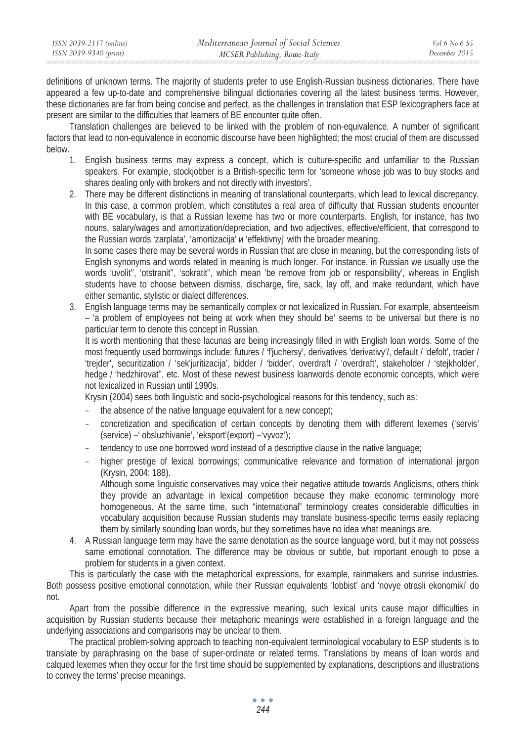| ISSN 2039-2117 (online) | Mediterranean Journal of Social Sciences | <i>Vol</i> 6 No 6 S5 |
|-------------------------|------------------------------------------|----------------------|
| ISSN 2039-9340 (print)  | MCSER Publishing, Rome-Italy             | December 2015        |

definitions of unknown terms. The majority of students prefer to use English-Russian business dictionaries. There have appeared a few up-to-date and comprehensive bilingual dictionaries covering all the latest business terms. However, these dictionaries are far from being concise and perfect, as the challenges in translation that ESP lexicographers face at present are similar to the difficulties that learners of BE encounter quite often.

Translation challenges are believed to be linked with the problem of non-equivalence. A number of significant factors that lead to non-equivalence in economic discourse have been highlighted; the most crucial of them are discussed below.

- 1. English business terms may express a concept, which is culture-specific and unfamiliar to the Russian speakers. For example, stockjobber is a British-specific term for 'someone whose job was to buy stocks and shares dealing only with brokers and not directly with investors'.
- 2. There may be different distinctions in meaning of translational counterparts, which lead to lexical discrepancy. In this case, a common problem, which constitutes a real area of difficulty that Russian students encounter with BE vocabulary, is that a Russian lexeme has two or more counterparts. English, for instance, has two nouns, salary/wages and amortization/depreciation, and two adjectives, effective/efficient, that correspond to the Russian words 'zarplata', 'amortizacija'  $\mu$  'effektivnyj' with the broader meaning.

In some cases there may be several words in Russian that are close in meaning, but the corresponding lists of English synonyms and words related in meaning is much longer. For instance, in Russian we usually use the words 'uvolit'', 'otstranit'', 'sokratit'', which mean 'be remove from job or responsibility', whereas in English students have to choose between dismiss, discharge, fire, sack, lay off, and make redundant, which have either semantic, stylistic or dialect differences.

3. English language terms may be semantically complex or not lexicalized in Russian. For example, absenteeism – 'a problem of employees not being at work when they should be' seems to be universal but there is no particular term to denote this concept in Russian.

It is worth mentioning that these lacunas are being increasingly filled in with English loan words. Some of the most frequently used borrowings include: futures / 'f'juchersy', derivatives 'derivativy'/, default / 'defolt', trader / 'trejder', securitization / 'sek'juritizacija', bidder / 'bidder', overdraft / 'overdraft', stakeholder / 'stejkholder', hedge / 'hedzhirovat'', etc. Most of these newest business loanwords denote economic concepts, which were not lexicalized in Russian until 1990s.

Krysin (2004) sees both linguistic and socio-psychological reasons for this tendency, such as:

- the absence of the native language equivalent for a new concept;
- concretization and specification of certain concepts by denoting them with different lexemes ('servis' (service) –' obsluzhivanie', 'eksport'(export) –'vyvoz');
- tendency to use one borrowed word instead of a descriptive clause in the native language;
- higher prestige of lexical borrowings; communicative relevance and formation of international jargon (Krysin, 2004: 188).

Although some linguistic conservatives may voice their negative attitude towards Anglicisms, others think they provide an advantage in lexical competition because they make economic terminology more homogeneous. At the same time, such "international" terminology creates considerable difficulties in vocabulary acquisition because Russian students may translate business-specific terms easily replacing them by similarly sounding loan words, but they sometimes have no idea what meanings are.

4. A Russian language term may have the same denotation as the source language word, but it may not possess same emotional connotation. The difference may be obvious or subtle, but important enough to pose a problem for students in a given context.

This is particularly the case with the metaphorical expressions, for example, rainmakers and sunrise industries. Both possess positive emotional connotation, while their Russian equivalents 'lobbist' and 'novye otrasli ekonomiki' do not.

Apart from the possible difference in the expressive meaning, such lexical units cause major difficulties in acquisition by Russian students because their metaphoric meanings were established in a foreign language and the underlying associations and comparisons may be unclear to them.

The practical problem-solving approach to teaching non-equivalent terminological vocabulary to ESP students is to translate by paraphrasing on the base of super-ordinate or related terms. Translations by means of loan words and calqued lexemes when they occur for the first time should be supplemented by explanations, descriptions and illustrations to convey the terms' precise meanings.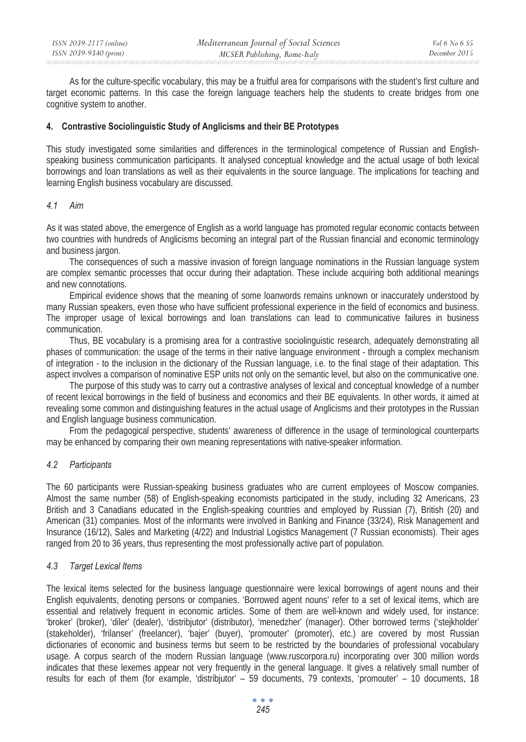As for the culture-specific vocabulary, this may be a fruitful area for comparisons with the student's first culture and target economic patterns. In this case the foreign language teachers help the students to create bridges from one cognitive system to another.

### **4. Contrastive Sociolinguistic Study of Anglicisms and their BE Prototypes**

This study investigated some similarities and differences in the terminological competence of Russian and Englishspeaking business communication participants. It analysed conceptual knowledge and the actual usage of both lexical borrowings and loan translations as well as their equivalents in the source language. The implications for teaching and learning English business vocabulary are discussed.

### *4.1 Aim*

As it was stated above, the emergence of English as a world language has promoted regular economic contacts between two countries with hundreds of Anglicisms becoming an integral part of the Russian financial and economic terminology and business jargon.

The consequences of such a massive invasion of foreign language nominations in the Russian language system are complex semantic processes that occur during their adaptation. These include acquiring both additional meanings and new connotations.

Empirical evidence shows that the meaning of some loanwords remains unknown or inaccurately understood by many Russian speakers, even those who have sufficient professional experience in the field of economics and business. The improper usage of lexical borrowings and loan translations can lead to communicative failures in business communication.

Thus, BE vocabulary is a promising area for a contrastive sociolinguistic research, adequately demonstrating all phases of communication: the usage of the terms in their native language environment - through a complex mechanism of integration - to the inclusion in the dictionary of the Russian language, i.e. to the final stage of their adaptation. This aspect involves a comparison of nominative ESP units not only on the semantic level, but also on the communicative one.

The purpose of this study was to carry out a contrastive analyses of lexical and conceptual knowledge of a number of recent lexical borrowings in the field of business and economics and their BE equivalents. In other words, it aimed at revealing some common and distinguishing features in the actual usage of Anglicisms and their prototypes in the Russian and English language business communication.

From the pedagogical perspective, students' awareness of difference in the usage of terminological counterparts may be enhanced by comparing their own meaning representations with native-speaker information.

## *4.2 Participants*

The 60 participants were Russian-speaking business graduates who are current employees of Moscow companies. Almost the same number (58) of English-speaking economists participated in the study, including 32 Americans, 23 British and 3 Canadians educated in the English-speaking countries and employed by Russian (7), British (20) and American (31) companies. Most of the informants were involved in Banking and Finance (33/24), Risk Management and Insurance (16/12), Sales and Marketing (4/22) and Industrial Logistics Management (7 Russian economists). Their ages ranged from 20 to 36 years, thus representing the most professionally active part of population.

## *4.3 Target Lexical Items*

The lexical items selected for the business language questionnaire were lexical borrowings of agent nouns and their English equivalents, denoting persons or companies. 'Borrowed agent nouns' refer to a set of lexical items, which are essential and relatively frequent in economic articles. Some of them are well-known and widely used, for instance: 'broker' (broker), 'diler' (dealer), 'distribjutor' (distributor), 'menedzher' (manager). Other borrowed terms ('stejkholder' (stakeholder), 'frilanser' (freelancer), 'bajer' (buyer), 'promouter' (promoter), etc.) are covered by most Russian dictionaries of economic and business terms but seem to be restricted by the boundaries of professional vocabulary usage. A corpus search of the modern Russian language (www.ruscorpora.ru) incorporating over 300 million words indicates that these lexemes appear not very frequently in the general language. It gives a relatively small number of results for each of them (for example, 'distribjutor' – 59 documents, 79 contexts, 'promouter' – 10 documents, 18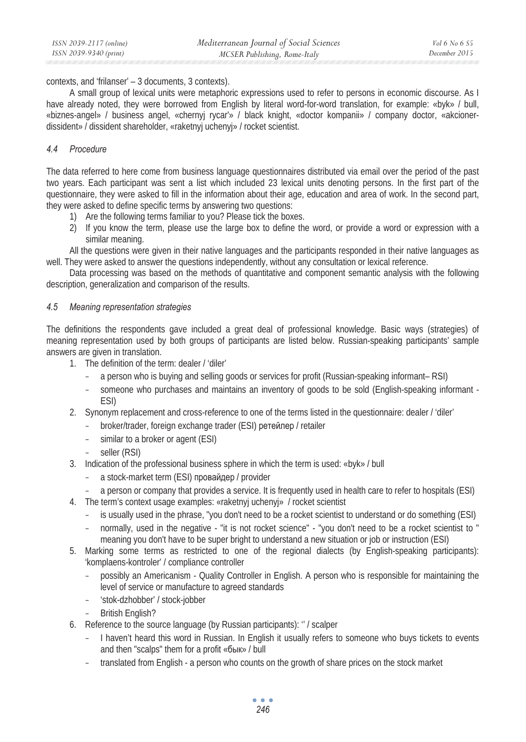contexts, and 'frilanser' – 3 documents, 3 contexts).

A small group of lexical units were metaphoric expressions used to refer to persons in economic discourse. As I have already noted, they were borrowed from English by literal word-for-word translation, for example: «byk» / bull, «biznes-angel» / business angel, «chernyj rycar'» / black knight, «doctor kompanii» / company doctor, «akcionerdissident» / dissident shareholder, «raketnyj uchenyj» / rocket scientist.

# *4.4 Procedure*

The data referred to here come from business language questionnaires distributed via email over the period of the past two years. Each participant was sent a list which included 23 lexical units denoting persons. In the first part of the questionnaire, they were asked to fill in the information about their age, education and area of work. In the second part, they were asked to define specific terms by answering two questions:

- 1) Are the following terms familiar to you? Please tick the boxes.
- 2) If you know the term, please use the large box to define the word, or provide a word or expression with a similar meaning.

All the questions were given in their native languages and the participants responded in their native languages as well. They were asked to answer the questions independently, without any consultation or lexical reference.

Data processing was based on the methods of quantitative and component semantic analysis with the following description, generalization and comparison of the results.

## *4.5 Meaning representation strategies*

The definitions the respondents gave included a great deal of professional knowledge. Basic ways (strategies) of meaning representation used by both groups of participants are listed below. Russian-speaking participants' sample answers are given in translation.

- 1. The definition of the term: dealer / 'diler'
	- a person who is buying and selling goods or services for profit (Russian-speaking informant– RSI)
	- someone who purchases and maintains an inventory of goods to be sold (English-speaking informant ESI)
- 2. Synonym replacement and cross-reference to one of the terms listed in the questionnaire: dealer / 'diler'
	- broker/trader, foreign exchange trader (ESI) ретейлер / retailer
	- similar to a broker or agent (ESI)
	- seller (RSI)
- 3. Indication of the professional business sphere in which the term is used: «byk» / bull
	- a stock-market term (ESI) провайдер / provider
	- a person or company that provides a service. It is frequently used in health care to refer to hospitals (ESI)
- 4. The term's context usage examples: «raketnyj uchenyj» / rocket scientist
	- is usually used in the phrase, "you don't need to be a rocket scientist to understand or do something (ESI)
	- normally, used in the negative "it is not rocket science" "you don't need to be a rocket scientist to " meaning you don't have to be super bright to understand a new situation or job or instruction (ESI)
- 5. Marking some terms as restricted to one of the regional dialects (by English-speaking participants): 'komplaens-kontroler' / compliance controller
	- possibly an Americanism Quality Controller in English. A person who is responsible for maintaining the level of service or manufacture to agreed standards
	- 'stok-dzhobber' / stock-jobber
	- British English?
- 6. Reference to the source language (by Russian participants): '' / scalper
	- I haven't heard this word in Russian. In English it usually refers to someone who buys tickets to events and then "scalps" them for a profit «бык» / bull
	- translated from English a person who counts on the growth of share prices on the stock market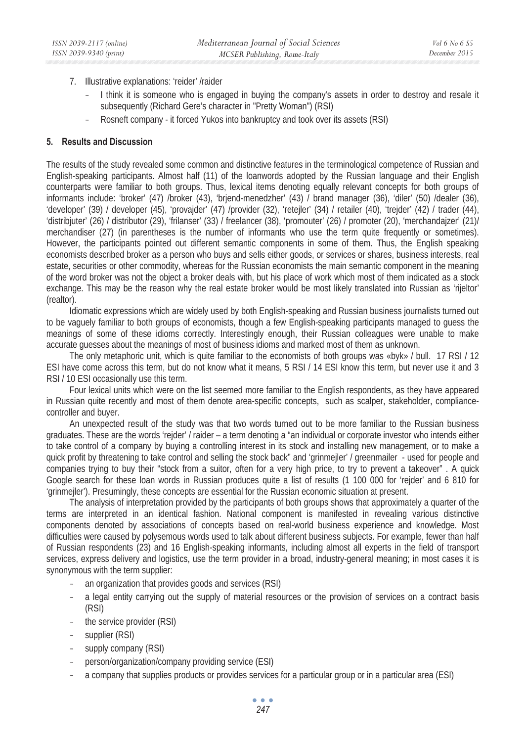- 7. Illustrative explanations: 'reider' /raider
	- I think it is someone who is engaged in buying the company's assets in order to destroy and resale it subsequently (Richard Gere's character in "Pretty Woman") (RSI)
	- Rosneft company it forced Yukos into bankruptcy and took over its assets (RSI)

### **5. Results and Discussion**

The results of the study revealed some common and distinctive features in the terminological competence of Russian and English-speaking participants. Almost half (11) of the loanwords adopted by the Russian language and their English counterparts were familiar to both groups. Thus, lexical items denoting equally relevant concepts for both groups of informants include: 'broker' (47) /broker (43), 'brjend-menedzher' (43) / brand manager (36), 'diler' (50) /dealer (36), 'developer' (39) / developer (45), 'provajder' (47) /provider (32), 'retejler' (34) / retailer (40), 'trejder' (42) / trader (44), 'distribjuter' (26) / distributor (29), 'frilanser' (33) / freelancer (38), 'promouter' (26) / promoter (20), 'merchandajzer' (21)/ merchandiser (27) (in parentheses is the number of informants who use the term quite frequently or sometimes). However, the participants pointed out different semantic components in some of them. Thus, the English speaking economists described broker as a person who buys and sells either goods, or services or shares, business interests, real estate, securities or other commodity, whereas for the Russian economists the main semantic component in the meaning of the word broker was not the object a broker deals with, but his place of work which most of them indicated as a stock exchange. This may be the reason why the real estate broker would be most likely translated into Russian as 'rijeltor' (realtor).

Idiomatic expressions which are widely used by both English-speaking and Russian business journalists turned out to be vaguely familiar to both groups of economists, though a few English-speaking participants managed to guess the meanings of some of these idioms correctly. Interestingly enough, their Russian colleagues were unable to make accurate guesses about the meanings of most of business idioms and marked most of them as unknown.

The only metaphoric unit, which is quite familiar to the economists of both groups was «byk» / bull. 17 RSI / 12 ESI have come across this term, but do not know what it means, 5 RSI / 14 ESI know this term, but never use it and 3 RSI / 10 ESI occasionally use this term.

Four lexical units which were on the list seemed more familiar to the English respondents, as they have appeared in Russian quite recently and most of them denote area-specific concepts, such as scalper, stakeholder, compliancecontroller and buyer.

An unexpected result of the study was that two words turned out to be more familiar to the Russian business graduates. These are the words 'rejder' / raider – a term denoting a "an individual or corporate investor who intends either to take control of a company by buying a controlling interest in its stock and installing new management, or to make a quick profit by threatening to take control and selling the stock back" and 'grinmejler' / greenmailer - used for people and companies trying to buy their "stock from a suitor, often for a very high price, to try to prevent a takeover" . A quick Google search for these loan words in Russian produces quite a list of results (1 100 000 for 'rejder' and 6 810 for 'grinmejler'). Presumingly, these concepts are essential for the Russian economic situation at present.

The analysis of interpretation provided by the participants of both groups shows that approximately a quarter of the terms are interpreted in an identical fashion. National component is manifested in revealing various distinctive components denoted by associations of concepts based on real-world business experience and knowledge. Most difficulties were caused by polysemous words used to talk about different business subjects. For example, fewer than half of Russian respondents (23) and 16 English-speaking informants, including almost all experts in the field of transport services, express delivery and logistics, use the term provider in a broad, industry-general meaning; in most cases it is synonymous with the term supplier:

- an organization that provides goods and services (RSI)
- a legal entity carrying out the supply of material resources or the provision of services on a contract basis (RSI)
- the service provider (RSI)
- supplier (RSI)
- supply company (RSI)
- person/organization/company providing service (ESI)
- a company that supplies products or provides services for a particular group or in a particular area (ESI)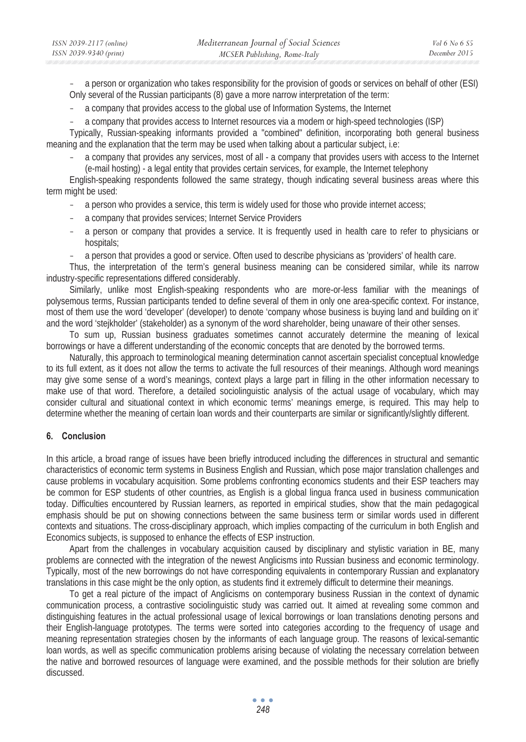a person or organization who takes responsibility for the provision of goods or services on behalf of other (ESI) Only several of the Russian participants (8) gave a more narrow interpretation of the term:

- a company that provides access to the global use of Information Systems, the Internet
- a company that provides access to Internet resources via a modem or high-speed technologies (ISP)

Typically, Russian-speaking informants provided a "combined" definition, incorporating both general business meaning and the explanation that the term may be used when talking about a particular subject, i.e:

- a company that provides any services, most of all - a company that provides users with access to the Internet (e-mail hosting) - a legal entity that provides certain services, for example, the Internet telephony

English-speaking respondents followed the same strategy, though indicating several business areas where this term might be used:

- a person who provides a service, this term is widely used for those who provide internet access;
- a company that provides services; Internet Service Providers
- a person or company that provides a service. It is frequently used in health care to refer to physicians or hospitals;
- a person that provides a good or service. Often used to describe physicians as 'providers' of health care.

Thus, the interpretation of the term's general business meaning can be considered similar, while its narrow industry-specific representations differed considerably.

Similarly, unlike most English-speaking respondents who are more-or-less familiar with the meanings of polysemous terms, Russian participants tended to define several of them in only one area-specific context. For instance, most of them use the word 'developer' (developer) to denote 'company whose business is buying land and building on it' and the word 'stejkholder' (stakeholder) as a synonym of the word shareholder, being unaware of their other senses.

To sum up, Russian business graduates sometimes cannot accurately determine the meaning of lexical borrowings or have a different understanding of the economic concepts that are denoted by the borrowed terms.

Naturally, this approach to terminological meaning determination cannot ascertain specialist conceptual knowledge to its full extent, as it does not allow the terms to activate the full resources of their meanings. Although word meanings may give some sense of a word's meanings, context plays a large part in filling in the other information necessary to make use of that word. Therefore, a detailed sociolinguistic analysis of the actual usage of vocabulary, which may consider cultural and situational context in which economic terms' meanings emerge, is required. This may help to determine whether the meaning of certain loan words and their counterparts are similar or significantly/slightly different.

## **6. Conclusion**

In this article, a broad range of issues have been briefly introduced including the differences in structural and semantic characteristics of economic term systems in Business English and Russian, which pose major translation challenges and cause problems in vocabulary acquisition. Some problems confronting economics students and their ESP teachers may be common for ESP students of other countries, as English is a global lingua franca used in business communication today. Difficulties encountered by Russian learners, as reported in empirical studies, show that the main pedagogical emphasis should be put on showing connections between the same business term or similar words used in different contexts and situations. The cross-disciplinary approach, which implies compacting of the curriculum in both English and Economics subjects, is supposed to enhance the effects of ESP instruction.

Apart from the challenges in vocabulary acquisition caused by disciplinary and stylistic variation in BE, many problems are connected with the integration of the newest Anglicisms into Russian business and economic terminology. Typically, most of the new borrowings do not have corresponding equivalents in contemporary Russian and explanatory translations in this case might be the only option, as students find it extremely difficult to determine their meanings.

To get a real picture of the impact of Anglicisms on contemporary business Russian in the context of dynamic communication process, a contrastive sociolinguistic study was carried out. It aimed at revealing some common and distinguishing features in the actual professional usage of lexical borrowings or loan translations denoting persons and their English-language prototypes. The terms were sorted into categories according to the frequency of usage and meaning representation strategies chosen by the informants of each language group. The reasons of lexical-semantic loan words, as well as specific communication problems arising because of violating the necessary correlation between the native and borrowed resources of language were examined, and the possible methods for their solution are briefly discussed.